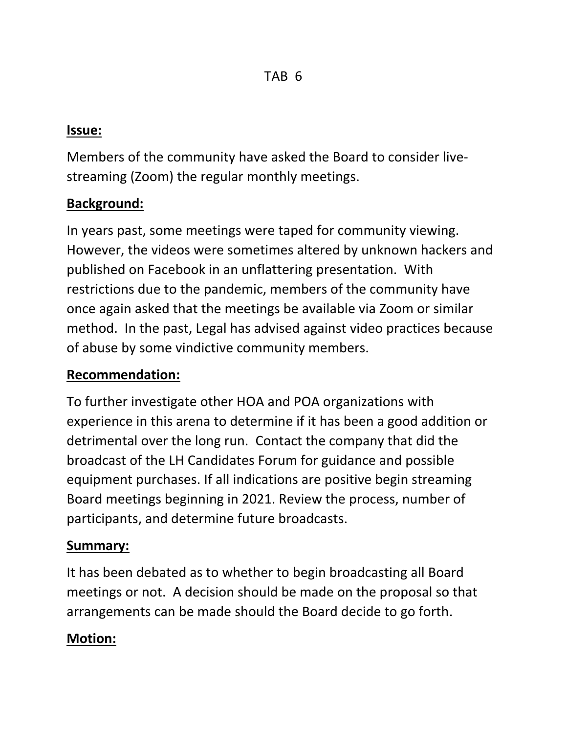### **Issue:**

Members of the community have asked the Board to consider livestreaming (Zoom) the regular monthly meetings.

## **Background:**

In years past, some meetings were taped for community viewing. However, the videos were sometimes altered by unknown hackers and published on Facebook in an unflattering presentation. With restrictions due to the pandemic, members of the community have once again asked that the meetings be available via Zoom or similar method. In the past, Legal has advised against video practices because of abuse by some vindictive community members.

## **Recommendation:**

To further investigate other HOA and POA organizations with experience in this arena to determine if it has been a good addition or detrimental over the long run. Contact the company that did the broadcast of the LH Candidates Forum for guidance and possible equipment purchases. If all indications are positive begin streaming Board meetings beginning in 2021. Review the process, number of participants, and determine future broadcasts.

## **Summary:**

It has been debated as to whether to begin broadcasting all Board meetings or not. A decision should be made on the proposal so that arrangements can be made should the Board decide to go forth.

# **Motion:**